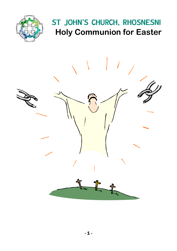

# ST JOHN'S CHURCH, RHOSNESNI **Holy Communion for Easter**

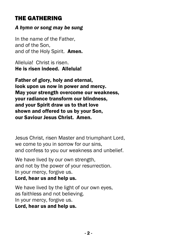### THE GATHERING

#### *A hymn or song may be sung*

In the name of the Father, and of the Son, and of the Holy Spirit. Amen.

Alleluia! Christ is risen. He is risen indeed. Alleluia!

Father of glory, holy and eternal, look upon us now in power and mercy. May your strength overcome our weakness, your radiance transform our blindness, and your Spirit draw us to that love shown and offered to us by your Son, our Saviour Jesus Christ. Amen.

Jesus Christ, risen Master and triumphant Lord, we come to you in sorrow for our sins, and confess to you our weakness and unbelief.

We have lived by our own strength. and not by the power of your resurrection. In your mercy, forgive us. Lord, hear us and help us.

We have lived by the light of our own eyes, as faithless and not believing. In your mercy, forgive us. Lord, hear us and help us.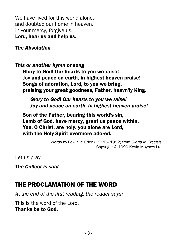We have lived for this world alone. and doubted our home in heaven. In your mercy, forgive us. Lord, hear us and help us.

#### *The Absolution*

*This or another hymn or song*

Glory to God! Our hearts to you we raise! Joy and peace on earth, in highest heaven praise! Songs of adoration, Lord, to you we bring, praising your great goodness, Father, heavn'ly King.

*Glory to God! Our hearts to you we raise! Joy and peace on earth, in highest heaven praise!*

Son of the Father, bearing this world's sin, Lamb of God, have mercy, grant us peace within. You, O Christ, are holy, you alone are Lord, with the Holy Spirit evermore adored.

> Words by Edwin le Grice (1911 – 1992) from *Gloria in Excelsis* Copyright © 1990 Kevin Mayhew Ltd

Let us pray

*The Collect is said*

### THE PROCLAMATION OF THE WORD

*At the end of the first reading, the reader says:*

This is the word of the Lord. Thanks be to God.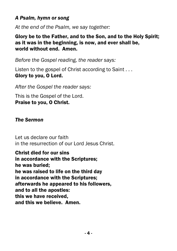#### *A Psalm, hymn or song*

*At the end of the Psalm, we say together:*

Glory be to the Father, and to the Son, and to the Holy Spirit; as it was in the beginning, is now, and ever shall be, world without end. Amen.

*Before the Gospel reading, the reader says:*

Listen to the gospel of Christ according to Saint . . . Glory to you, O Lord.

*After the Gospel the reader says:*

This is the Gospel of the Lord. Praise to you, O Christ.

#### *The Sermon*

Let us declare our faith in the resurrection of our Lord Jesus Christ.

Christ died for our sins in accordance with the Scriptures; he was buried; he was raised to life on the third day in accordance with the Scriptures; afterwards he appeared to his followers, and to all the apostles: this we have received, and this we believe. Amen.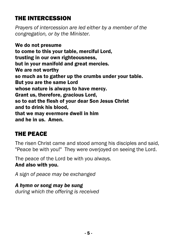### THE INTERCESSION

*Prayers of intercession are led either by a member of the congregation, or by the Minister.*

We do not presume to come to this your table, merciful Lord, trusting in our own righteousness, but in your manifold and great mercies. We are not worthy so much as to gather up the crumbs under your table. But you are the same Lord whose nature is always to have mercy. Grant us, therefore, gracious Lord, so to eat the flesh of your dear Son Jesus Christ and to drink his blood, that we may evermore dwell in him and he in us. Amen.

### THE PEACE

The risen Christ came and stood among his disciples and said, "Peace be with you!" They were overjoyed on seeing the Lord.

The peace of the Lord be with you always. And also with you.

*A sign of peace may be exchanged*

## *A hymn or song may be sung*

*during which the offering is received*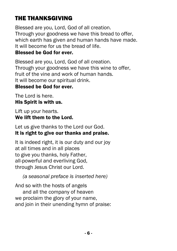## THE THANKSGIVING

Blessed are you, Lord, God of all creation. Through your goodness we have this bread to offer, which earth has given and human hands have made. It will become for us the bread of life. Blessed be God for ever.

Blessed are you, Lord, God of all creation. Through your goodness we have this wine to offer, fruit of the vine and work of human hands. It will become our spiritual drink.

#### Blessed be God for ever.

The Lord is here. His Spirit is with us.

Lift up your hearts. We lift them to the Lord.

Let us give thanks to the Lord our God. It is right to give our thanks and praise.

It is indeed right, it is our duty and our joy at all times and in all places to give you thanks, holy Father, all-powerful and everliving God, through Jesus Christ our Lord.

*(a seasonal preface is inserted here)*

And so with the hosts of angels and all the company of heaven we proclaim the glory of your name, and join in their unending hymn of praise: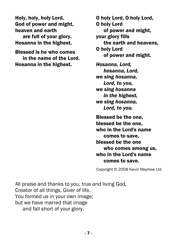Holy, holy, holy Lord, God of power and might, heaven and earth are full of your glory. Hosanna in the highest.

Blessed is he who comes in the name of the Lord. Hosanna in the highest.

O holy Lord, O holy Lord, O holy Lord of power and might, your glory fills the earth and heavens, O holy Lord of power and might. *Hosanna, Lord, hosanna, Lord, we sing hosanna, Lord, to you, we sing hosanna in the highest, we sing hosanna, Lord, to you.*

Blessed be the one, blessed be the one, who in the Lord's name comes to save, blessed be the one who comes among us, who in the Lord's name comes to save.

Copyright © 2008 Kevin Mayhew Ltd

All praise and thanks to you, true and living God, Creator of all things, Giver of life. You formed us in your own image; but we have marred that image and fall short of your glory.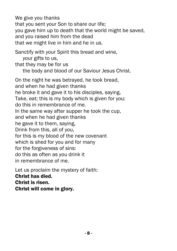We give you thanks that you sent your Son to share our life; you gave him up to death that the world might be saved, and you raised him from the dead that we might live in him and he in us.

Sanctify with your Spirit this bread and wine, your gifts to us, that they may be for us the body and blood of our Saviour Jesus Christ.

On the night he was betrayed, he took bread, and when he had given thanks he broke it and gave it to his disciples, saying, Take, eat; this is my body which is given for you: do this in remembrance of me. In the same way after supper he took the cup, and when he had given thanks he gave it to them, saying, Drink from this, all of you, for this is my blood of the new covenant which is shed for you and for many for the forgiveness of sins: do this as often as you drink it in remembrance of me.

Let us proclaim the mystery of faith: Christ has died. Christ is risen. Christ will come in glory.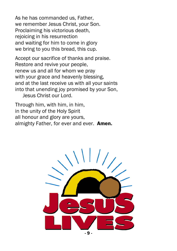As he has commanded us, Father, we remember Jesus Christ, your Son. Proclaiming his victorious death, rejoicing in his resurrection and waiting for him to come in glory we bring to you this bread, this cup.

Accept our sacrifice of thanks and praise. Restore and revive your people, renew us and all for whom we pray with your grace and heavenly blessing, and at the last receive us with all your saints into that unending joy promised by your Son, Jesus Christ our Lord.

Through him, with him, in him, in the unity of the Holy Spirit all honour and glory are yours, almighty Father, for ever and ever. **Amen.** 

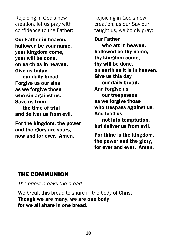Rejoicing in God's new creation, let us pray with confidence to the Father:

Our Father in heaven, hallowed be your name, your kingdom come, your will be done, on earth as in heaven. Give us today

our daily bread. Forgive us our sins as we forgive those who sin against us. Save us from the time of trial and deliver us from evil.

For the kingdom, the power and the glory are yours, now and for ever. Amen.

Rejoicing in God's new creation, as our Saviour taught us, we boldly pray:

Our Father

who art in heaven, hallowed be thy name, thy kingdom come, thy will be done, on earth as it is in heaven. Give us this day our daily bread. And forgive us our trespasses as we forgive those who trespass against us. And lead us not into temptation, but deliver us from evil.

For thine is the kingdom, the power and the glory, for ever and ever. Amen.

#### THE COMMUNION

*The priest breaks the bread.*

We break this bread to share in the body of Christ. Though we are many, we are one body for we all share in one bread.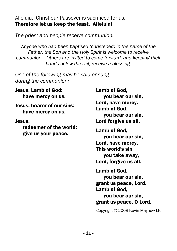Alleluia. Christ our Passover is sacrificed for us. Therefore let us keep the feast. Alleluia!

*The priest and people receive communion.*

*Anyone who had been baptised (christened) in the name of the Father, the Son and the Holy Spirit is welcome to receive communion. Others are invited to come forward, and keeping their hands below the rail, receive a blessing.*

*One of the following may be said or sung during the communion:*

Jesus, Lamb of God: have mercy on us.

Jesus, bearer of our sins: have mercy on us.

Jesus,

 redeemer of the world: give us your peace.

Lamb of God, you bear our sin, Lord, have mercy. Lamb of God, you bear our sin, Lord forgive us all. Lamb of God, you bear our sin, Lord, have mercy. This world's sin you take away,

Lord, forgive us all.

Lamb of God, you bear our sin, grant us peace, Lord. Lamb of God, you bear our sin, grant us peace, O Lord.

Copyright © 2008 Kevin Mayhew Ltd